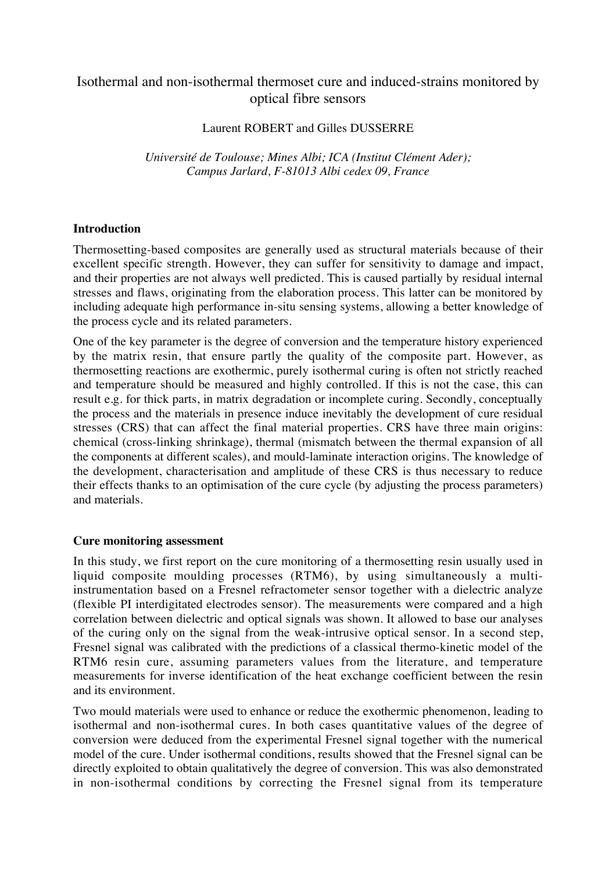## Isothermal and non-isothermal thermoset cure and induced-strains monitored by optical fibre sensors

Laurent ROBERT and Gilles DUSSERRE

*Université de Toulouse; Mines Albi; ICA (Institut Clément Ader); Campus Jarlard, F-81013 Albi cedex 09, France*

## **Introduction**

Thermosetting-based composites are generally used as structural materials because of their excellent specific strength. However, they can suffer for sensitivity to damage and impact, and their properties are not always well predicted. This is caused partially by residual internal stresses and flaws, originating from the elaboration process. This latter can be monitored by including adequate high performance in-situ sensing systems, allowing a better knowledge of the process cycle and its related parameters.

One of the key parameter is the degree of conversion and the temperature history experienced by the matrix resin, that ensure partly the quality of the composite part. However, as thermosetting reactions are exothermic, purely isothermal curing is often not strictly reached and temperature should be measured and highly controlled. If this is not the case, this can result e.g. for thick parts, in matrix degradation or incomplete curing. Secondly, conceptually the process and the materials in presence induce inevitably the development of cure residual stresses (CRS) that can affect the final material properties. CRS have three main origins: chemical (cross-linking shrinkage), thermal (mismatch between the thermal expansion of all the components at different scales), and mould-laminate interaction origins. The knowledge of the development, characterisation and amplitude of these CRS is thus necessary to reduce their effects thanks to an optimisation of the cure cycle (by adjusting the process parameters) and materials.

## **Cure monitoring assessment**

In this study, we first report on the cure monitoring of a thermosetting resin usually used in liquid composite moulding processes (RTM6), by using simultaneously a multiinstrumentation based on a Fresnel refractometer sensor together with a dielectric analyze (flexible PI interdigitated electrodes sensor). The measurements were compared and a high correlation between dielectric and optical signals was shown. It allowed to base our analyses of the curing only on the signal from the weak-intrusive optical sensor. In a second step, Fresnel signal was calibrated with the predictions of a classical thermo-kinetic model of the RTM6 resin cure, assuming parameters values from the literature, and temperature measurements for inverse identification of the heat exchange coefficient between the resin and its environment.

Two mould materials were used to enhance or reduce the exothermic phenomenon, leading to isothermal and non-isothermal cures. In both cases quantitative values of the degree of conversion were deduced from the experimental Fresnel signal together with the numerical model of the cure. Under isothermal conditions, results showed that the Fresnel signal can be directly exploited to obtain qualitatively the degree of conversion. This was also demonstrated in non-isothermal conditions by correcting the Fresnel signal from its temperature